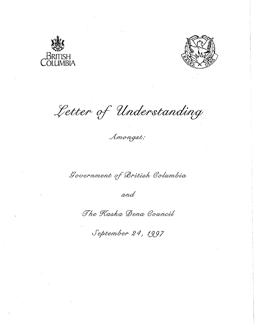



Letter of Understanding

Amongst:

Government of British Columbia

and

The Kaska Dena Council

September 24, 1997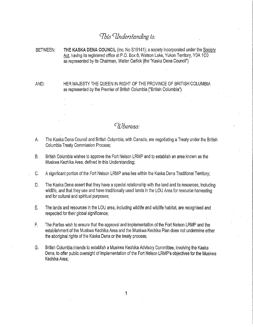# *Cfbts CUndersfand!ng Is:*

BETWEEN: **THE KASKA DENA COUNCIL** (Inc. No S19141); a society incorporated under the Society Act, having its registered office at P.O. Box 8, Watson Lake, Yukon Territory, Y0A 1C0 as represented by its Chairman, Walter Carlick (the "Kaska Dena Council")

AND: HER MAJESTY THE QUEEN IN RIGHT OF THE PROVINCE OF BRITISH COLUMBIA as represented by the Premier of British Columbia ("British Columbia")

# *CWhereas:*

- A. The Kaska Dena Council and British Columbia, with Canada, are negotiating a Treaty under the British Columbia Treaty Commission Process;
- B. British Columbia wishes to approve the Fort Nelson LRMP and to establish an area known as the Muskwa Kechika Area, defined in this Understanding;
- C. A significant portion of the Fort Nelson LRMP area lies within the Kaska Dena Traditional Territory;
- D. The Kaska Dena assert that they have a special relationship with the land and its resources, including wildlife, and that they use and have traditionally used lands in the LOU Area for resource harvesting and for cultural and spiritual purposes;
- E. The lands and resources in the LOU area, including wildlife and wildlife habitat, are recognised and respected for their global significance;
- F. The Parties wish to ensure that the approval and implementation of the Fort Nelson LRMP and the establishment of the Muskwa Kechika Area and the Muskwa Kechlka Plan does not undermine either the aboriginal rights of the Kaska Dena or the treaty process;
- G. British Columbia intends to establish a Muskwa Kechika Advisory Committee, involving the Kaska Dena, to offer public oversight of implementation of the Fort Nelson LRMP's objectives for the Muskwa Kechika Area;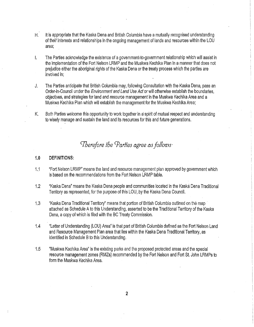- H. It is appropriate that the Kaska Dena and British Columbia have a mutually recognised understanding of their interests and relationships in the ongoing management of lands and resources within the LOU area;
- I. The Parties acknowledge the existence of a government-to-government relationship which will assist in the implementation of the Fort Nelson LRMP and the Muskwa Kechlka Plan In a manner that does not prejudice either the aboriginal rights of the Kaska Dena or the treaty process which the parties are Involved in;
- J. The Parties anticipate that British Columbia may, following Consultation with the Kaska Dena, pass an Order-in-Council under the Environment and Land Use Act or will otherwise establish the boundaries, objectives, and strategies for land and resource management in the Muskwa Kechika Area and a Muskwa Kechlka Plan which will establish the management for the Muskwa Kechika Area;
- K. Both Parties welcome this opportunity to work together in a spirit of mutual respect and understanding to wisely manage and sustain the land and its resources for this and future generations.

# *Cherefore the Parties agree as follows*

### **1.0 DEFINITIONS:**

- 1.1 "Fort Nelson LRMP" means the land and resource management plan approved by government which Is based on the recommendations from the Fort Nelson LRMP table.
- 1.2 "Kaska Dena" means the Kaska Dena people and communities located in the Kaska Dena Traditional Territory as represented, for the purpose of this LOU, by the Kaska Dena Council.
- 1.3 "Kaska Dena Traditional Territory" means that portion of British Columbia outlined on the map · attached as Schedule A to this Understanding, asserted to be the Traditional Territory of the Kaska Dena, a copy of which is filed with the BC Treaty Commission.
- 1.4 "Letter of Understanding (LOU) Area" is that part of British Columbia defined as the Fort Nelson Land and Resource Management Plan area that lies within the Kaska Dena Traditional Territory, as Identified in Schedule B to this Understanding.
- 1 ,5 "Muskwa Kechika Area" Is the existing parks and the proposed protected areas and the special resource management zones (RMZs) recommended by the Fort Nelson and Fort St. John LRMPs to form the Muskwa Kechika Area.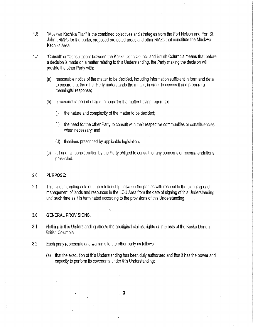- 1.6 "Muskwa Kechika Plan" is the combined objectives and strategies from the Fort Nelson and Fort St. John LRMPs for the parks, proposed protected areas and other RMZs that constitute the Muskwa Kechika Area.
- 1.7 "Consult" or "Consultation" between the Kaska Dena Council and British Columbia means that before a decision is made on a matter relating to this Understanding, the Party making the decision will provide the other Party with:
	- (a) reasonable notice of the matter to be decided, Including Information sufficient In form and detail to ensure that the other Party understands the matter, in order to assess it and prepare a meaningful response;
	- (b) a reasonable period of time to consider the matter having regard to:
		- (i) the nature and complexity of the matter to be decided;
		- (ii) the need for the other Party to consult with their respective communities or constituencies, when necessary; and
		- (ill) timelines prescribed by applicable legislation.
	- (c) full and fair consideration by the Party obliged to consult, of any concerns or recommendations presented.

#### **2.0 PURPOSE:**

2.1 This Understanding sets out the relationship between the parties with respect to the planning and management of lands and resources in the LOU Area from the date of signing of this Understanding until such time as it is terminated according to the provisions of this Understanding.

#### **3.0 GENERAL PROVISIONS:**

- 3.1 Nothing in this Understanding affects the aboriginal claims, rights or interests of the Kaska Dena in British Columbia.
- 3.2 Each party represents and warrants to the other party as follows:
	- (a) that the execution of this Understanding has been duly authorised and that it has the power and capacity to perform Its covenants under this Understanding;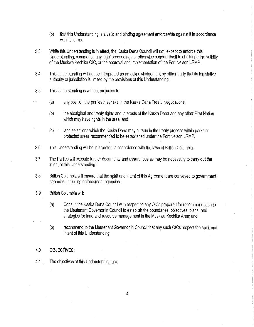- (b) that this Understanding is a valid and binding agreement enforceຈ!›!e against it in accordance with its terms.
- 3.3 While this Understanding is in effect, the Kaska Dena Council will not, except to enforce this Understanding, commence any legal proceedings or otherwise conduct itself to challenge the validity of the Muskwa Kechika OIC, or the approval and implementation of the Fort Nelson LRMP.
- 3.4 This Understanding will not be interpreted as an acknowledgement by either party that its legislative authority or jurisdiction Is limited by the provisions of this Understanding.
- 3.5 This Understanding is without prejudice to:
	- (a) any position the parties may take in the Kaska Dena Treaty Negotiations;
	- (b) the aboriginal and treaty rights and interests of the Kaska Dena and any other First Nation which may have rights in the area; and
	- (c) land selections which the Kaska Dena may pursue in the treaty process within parks or protected areas recommended to be established under the Fort Nelson LRMP.
- 3.6 This Understanding will be interpreted in accordance with the laws of British Columbia.
- 3.7 The Parties will execute further documents and assurances as may be necessary to carry out the intent of this Understanding,
- 3.8 British Columbia will ensure that the spirit and intent of this Agreement are conveyed to government agencies, including enforcement agencies.
- 3.9 British Columbia will:
	- (a) Consult the Kaska Dena Council with respect to any OICs prepared for recommendation to the Lieutenant Governor in Council to establish the boundaries, objectives, plans, and strategies for land and resource management In the Muskwa Kechika Area; and
	- (b) recommend to the Lieutenant Governor in Council that any such OICs respect the spirit and Intent of this Understanding.

#### **4.0 OBJECTIVES:**

4.1 The objectives of this Understanding are: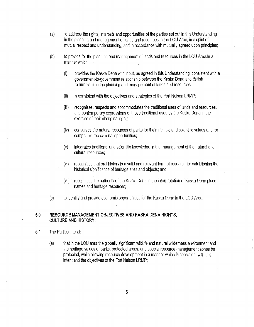- (a) to address the rights, interests and opportunities of the parties set out In this Understanding in the planning and management of lands and resources In the LOU Area, in a spirit of mutual respect and understanding, and In accordance with mutually agreed upon principles;
- (b) to provide for the planning and management of lands and resources In the LOU Area in a manner which:
	- $(i)$  provides the Kaska Dena with input, as agreed in this Understanding, consistent with a government-to-government relationship between the Kaska Dena and British Columbia, into the planning and management of lands and resources;
	- (ii) is consistent with the objectives and strategies of the Fort Nelson LRMP;
	- (iii) recognises, respects and accommodates the traditional uses of lands and resources, and contemporary expressions of those traditional uses by the Kaska Dena in the exercise of their aboriginal rights;
	- (iv) conserves the natural resources of parks for their intrinsic and scientific values and for compatible recreational opportunities;
	- (v) integrates traditional and scientific knowledge in the management of the natural and cultural resources;
	- (vi) recognises that oral history is a valid and relevant form of research for establishing the historical significance of heritage sites and objects; and
	- (vii) recognises the authority of the Kaska Dena in the interpretation of Kaska Dena place names and heritage resources;
- (c) to identify and provide economic opportunities for the Kaska Dena In the LOU Area.

## **5.0 RESOURCE MANAGEMENT OBJECTIVES AND KASKA DENA RIGHTS, CULTURE AND HISTORY:**

- 5.1 The Parties Intend:
	- (a) that in the LOU area the globally significant wildlife and natural wilderness environment and the heritage values of parks, protected areas, and special resource management zones be protected, while allowing resource development in a manner which Is consistent with this intent and the objectives of the Fort Nelson LRMP;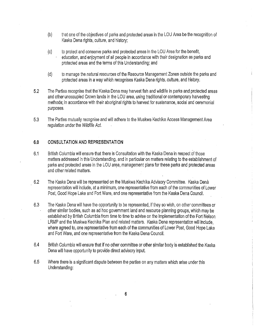- (b) that one of the objectives of parks and protected areas In the LOU Area be the recognition of Kaska Dena rights, culture, and history;
- (c) to protect and conserve parks and protected areas In the LOU Area for the benefit, education, and enjoyment of all people In accordance with their designation as parks and protected areas and the terms of this Understanding; and
- (d) to manage the natural resources of the Resource Management Zones outside the parks and protected areas in a way which recognises Kaska Dena rights, culture, and history.
- 5.2 The Parties recognise that the Kaska Dena may harvest fish and wildlife in parks and protected areas and other unoccupied Crown lands In the LOU area, using traditional or contemporary harvesting methods; In accordance with their aboriginal rights to harvest for sustenance, social and ceremonial purposes.
- 5.3 The Parties mutually recognise and will adhere to the Muskwa Kechika Access Management Area regulation under the Wildlife Act.

## **6,0 CONSULTATION AND REPRESENTATION**

- 6.1 British Columbia will ensure that there is Consultation with the Kaska Dena in respect of those matters addressed in this Understanding, and in particular on matters relating to the establishment of parks and protected areas in the LOU area, management plans for these parks and protected areas and other related matters.
- 6.2 The Kaska Dena will be represented on the Muskwa Kechika Advisory Committee. Kaska Denà representation will include, at a minimum, one representative from each of the communities of Lower Post, Good Hope Lake and Fort Ware, and one representative from the Kaska Dena Council.
- 6.3 The Kaska Dena will have the opportunity to be represented, if they so wish, on other committees or other similar bodies, such as ad hoc government land and resource planning groups, which may be established by British Columbia from time to time to advise on the Implementation of the Fort Nelson LRMP and the Muskwa Kechika Plan and related matters. Kaska Dena representation will Include, where agreed to, one representative from each of the communities of Lower Post, Good Hope Lake and Fort Ware, and one representative from the Kaska Dena Council.
- 6.4 British Columbia will ensure that if no other committee or other similar body is established the Kaska Dena will have opportunity to provide direct advisory input.
- 6.5 Where there is a significant dispute between the parties on any matters which arise under this Understanding: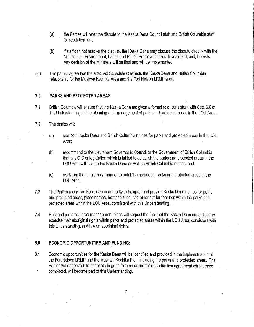- (a) the Parties will refer the dispute to the Kaska Dena Council staff and British Columbia staff for resolution; and
- (b) if staff can not resolve the dispute, the Kaska Dena may discuss the dispute directly with the Ministers of: Environment, Lands and Parks; Employment and Investment; and, Forests. Any decision of the Ministers will be final and will be implemented.
- 6.6 The parties agree that the attached Schedule C reflects the Kaska Dena and British Columbia relationship for the Muskwa Kechika Area and the Fort Nelson LRMP area.

### **7.0 PARKS AND PROTECTED AREAS**

7.1 British Columbia will ensure that the Kaska Dena are given a formal role, consistent with Sec. 6.0 of this Understanding, in the planning and management of parks and protected areas in the LOU Area.

### 7.2 The parties will:

- (a) use both Kaska Dena and British Columbia names for parks and protected areas in the LOU Area;
- (b) recommend to the Lieutenant Governor in Council or the Government of British Columbia that any OIC or legislation which is tabled to establish the parks and protected areas In the LOU Area will include the Kaska Dena as well as British Columbia names; and
- (c) work together in a timely manner to establish names for parks and protected areas in the LOU Area.
- 7.3 The Parties recognise Kaska Dena authority to interpret and provide Kaska Dena names for parks and protected areas, place names, h'eritage sites, and other similar features within the parks and protected areas within the LOU Area, consistent with this Understanding.
- 7.4 Park and protected area management plans will respect the fact that the Kaska Dena are entitled to exercise their aboriginal rights within parks and protected areas within the **LOU** Area, consistent with this Understanding, and law on aboriginal rights. ·

### **8.0 · ECONOMIC OPPORTUNITIES AND FUNDING:**

8.1 Economic opportunities for the Kaska Dena will be identified and provided in the implementation of the Fort Nelson LRMP and the Muskwa Kechika Plan, including the parks and protected areas. The Parties will endeavour to negotiate in good faith an economic opportunities agreement which, once completed, will become part of this Understanding.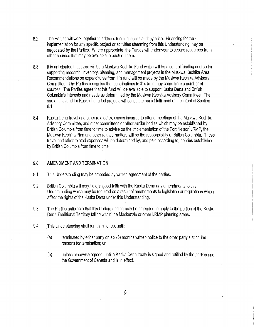- 8.2 The Parties will work together to address funding issues as they arise. Financing for the last of the last implementation for any specific project or activities stemming from this Understanding may be negotiated by the Parties. Where appropriate, the Parties will endeavour to secure resources from other sources that may be available to each of them.
- 8.3 it is anticipated that there will be a Muskwa Kechika Fund which will be a central funding source for supporting research, Inventory, planning, and management projects In the Muskwa Kechika Area. Recommendations on expenditures from this fund will be made by the Muskwa Kechika Advisory Committee. The Parties recognise that contributions to this fund may come from a number of sources. The Parties agree that this fund will be available to support Kaska Dena and British Columbia's interests and needs as determined by the Muskwa Kechika Advisory Committee. The use of this fund for Kaska Dena-led projects will constitute partial fulfilment of the intent of Section 8.1.
- 8.4 Kaska Dena travel and other related expenses incurred to attend meetings of the Muskwa Kechika Advisory Committee, and other committees or other similar bodies which may be established by British Columbia from time to time to advise on the implementation of the Fort Nelson· LRMP, the Muskwa Kechika Plan and other related matters will be the responsibility of British Columbia. These travel and other related expenses will 'be determined by, and paid according to, policies established by British Columbia from time to time.

#### **9.0 AMENDMENT AND TERMINATION:**

- 9.1 This Understanding may be amended by written agreement of the parties.
- 9.2 British Columbia will negotiate in good faith with the Kaska Dena any amendments to this Understanding which may be required as a result of amendments to legislation or regulations which affect the rights of the Kaska Dena under this Understanding.
- 9.3 The Parties anticipate that this Understanding may be amended to apply to the portion of the Kaska Dena Traditional Territory falling within the Mackenzie or other LRMP planning areas.
- 9.4 This Understanding shall remain in effect until:
	- (a) terminated by either party on six (6) months written notice to the other party stating the reasons for termination; or
	- (b) unless otherwise agreed, until a Kaska Dena treaty is signed and ratified by the parties and the Government of Canada and is in effect.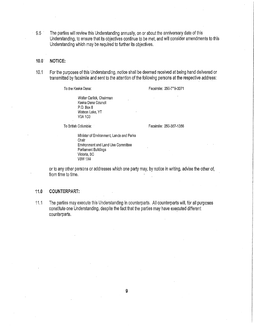9.5 · The parties will review this Understanding annually, on or about the anniversary date of this Understanding, to ensure that its objectives continue to be met, and will consider amendments to this Understanding which may be required to further Its objectives.

#### **10.0· NOTICE:**

10.1 For the purposes of this Understanding, notice shall be deemed received at being hand delivered or transmitted by facsimile and sent to the attention of the following persons at the respective address:

To the Kaska Dena:

Facsimile: 250-779-3371

Walter Carlick, Chairman Kaska Dena Council P.O. Box 8 Watson Lake, YT YOA 1CO

To British Columbia:

Facsimile: 250·387·1356

Minister of Environment, Lands and Parks Chair Environment and Land Use Committee Parliament Buildings Victoria, BC V8W 1X4

or to any other persons or addresses which one party may, by notice in writing, advise the other of, from time to time.

#### **11.0 COUNTERPART:**

11.1 The parties may execute this Understanding In counterparts. All counterparts will, for all purposes constitute one Understanding, despite the fact that the parties may have executed different counterparts.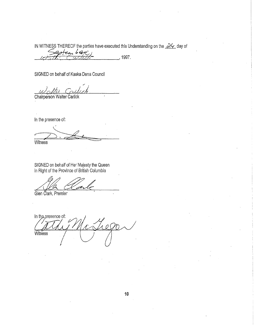IN WITNESS THEREOF the parties have executed this Understanding on the 24 day of

1997.

SIGNED on behalf of Kaska Dena Council

Chairperson Walter Carlick

In the presence of:

Witness

SIGNED on behalf of Her Majesty the Queen<br>in Right of the Province of British Columbia

Glen Clark, Premier

In the presence of:  $1.00$ Witness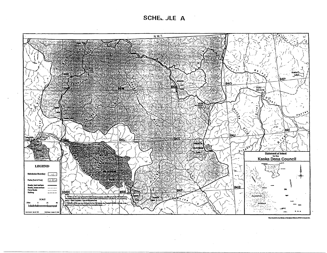SCHEL JLE A



ng Allahi bir FITECH, Wasila B.C.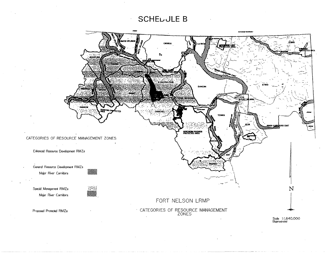# **SCHELLJLE B**